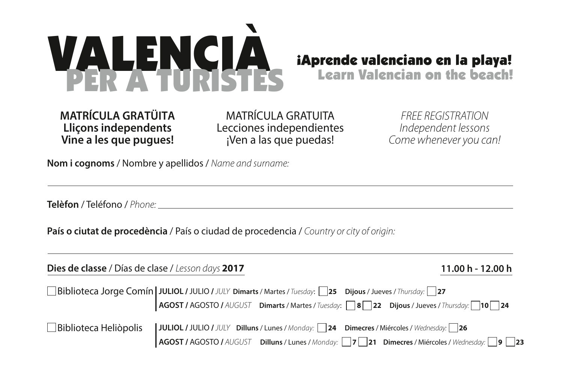

**MATRÍCULA GRATÜITA Lliçons independents Vine a les que pugues!**

MATRÍCULA GRATUITA Lecciones independientes ¡Ven a las que puedas!

*FREE REGISTRATION Independent lessons Come whenever you can!*

**Nom i cognoms** / Nombre y apellidos / *Name and surname:*

**Telèfon** / Teléfono / *Phone:*

**País o ciutat de procedència** / País o ciudad de procedencia / *Country or city of origin:*

| Dies de classe / Días de clase / Lesson days 2017 |                                                                                                                                                                                                                             | 11.00 h - 12.00 h |
|---------------------------------------------------|-----------------------------------------------------------------------------------------------------------------------------------------------------------------------------------------------------------------------------|-------------------|
|                                                   | <b>Biblioteca Jorge Comín</b> JULIOL / JULIO / <i>JULY</i> Dimarts / Martes / Tuesday: <b>25</b> Dijous / Jueves / Thursday: 27<br>AGOST / AGOSTO / AUGUST Dimarts / Martes / Tuesday: 32 Dijous / Jueves / Thursday: 10 24 |                   |
|                                                   | Biblioteca Heliòpolis   JULIOL / JULIO / JULY Dilluns / Lunes / Monday: 24 Dimecres / Miércoles / Wednesday: 26<br><b>AGOST / AGOSTO /</b> AUGUST Dilluns / Lunes / Monday: 17 21 Dimecres / Miércoles / Wednesday: 19 23   |                   |